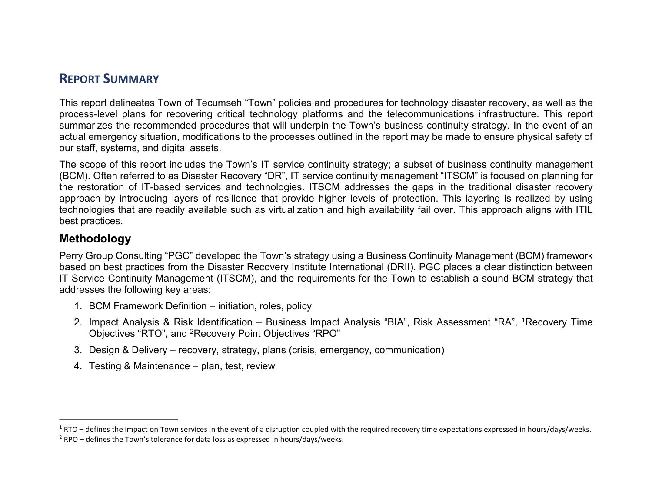# **REPORT SUMMARY**

This report delineates Town of Tecumseh "Town" policies and procedures for technology disaster recovery, as well as the process-level plans for recovering critical technology platforms and the telecommunications infrastructure. This report summarizes the recommended procedures that will underpin the Town's business continuity strategy. In the event of an actual emergency situation, modifications to the processes outlined in the report may be made to ensure physical safety of our staff, systems, and digital assets.

The scope of this report includes the Town's IT service continuity strategy; a subset of business continuity management (BCM). Often referred to as Disaster Recovery "DR", IT service continuity management "ITSCM" is focused on planning for the restoration of IT-based services and technologies. ITSCM addresses the gaps in the traditional disaster recovery approach by introducing layers of resilience that provide higher levels of protection. This layering is realized by using technologies that are readily available such as virtualization and high availability fail over. This approach aligns with ITIL best practices.

#### **Methodology**

Perry Group Consulting "PGC" developed the Town's strategy using a Business Continuity Management (BCM) framework based on best practices from the Disaster Recovery Institute International (DRII). PGC places a clear distinction between IT Service Continuity Management (ITSCM), and the requirements for the Town to establish a sound BCM strategy that addresses the following key areas:

- 1. BCM Framework Definition initiation, roles, policy
- 2. Impact Analysis & Risk Identification Business Impact Analysis "BIA", Risk Assessment "RA", [1](#page-0-0)Recovery Time Objectives "RTO", and [2](#page-0-1)Recovery Point Objectives "RPO"
- 3. Design & Delivery recovery, strategy, plans (crisis, emergency, communication)
- 4. Testing & Maintenance plan, test, review

<span id="page-0-3"></span><span id="page-0-2"></span> $\overline{a}$ 

<span id="page-0-0"></span> $1 RTO 1 RTO -$  defines the impact on Town services in the event of a disruption coupled with the required recovery time expectations expressed in hours/days/weeks.

<span id="page-0-1"></span> $2$  RPO – defines the Town's tolerance for data loss as expressed in hours/days/weeks.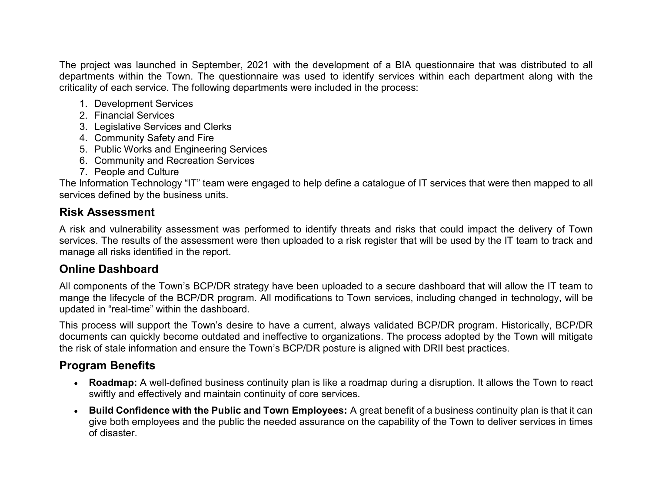The project was launched in September, 2021 with the development of a BIA questionnaire that was distributed to all departments within the Town. The questionnaire was used to identify services within each department along with the criticality of each service. The following departments were included in the process:

- 1. Development Services
- 2. Financial Services
- 3. Legislative Services and Clerks
- 4. Community Safety and Fire
- 5. Public Works and Engineering Services
- 6. Community and Recreation Services
- 7. People and Culture

The Information Technology "IT" team were engaged to help define a catalogue of IT services that were then mapped to all services defined by the business units.

### **Risk Assessment**

A risk and vulnerability assessment was performed to identify threats and risks that could impact the delivery of Town services. The results of the assessment were then uploaded to a risk register that will be used by the IT team to track and manage all risks identified in the report.

#### **Online Dashboard**

All components of the Town's BCP/DR strategy have been uploaded to a secure dashboard that will allow the IT team to mange the lifecycle of the BCP/DR program. All modifications to Town services, including changed in technology, will be updated in "real-time" within the dashboard.

This process will support the Town's desire to have a current, always validated BCP/DR program. Historically, BCP/DR documents can quickly become outdated and ineffective to organizations. The process adopted by the Town will mitigate the risk of stale information and ensure the Town's BCP/DR posture is aligned with DRII best practices.

# **Program Benefits**

- **Roadmap:** A well-defined business continuity plan is like a roadmap during a disruption. It allows the Town to react swiftly and effectively and maintain continuity of core services.
- **Build Confidence with the Public and Town Employees:** A great benefit of a business continuity plan is that it can give both employees and the public the needed assurance on the capability of the Town to deliver services in times of disaster.